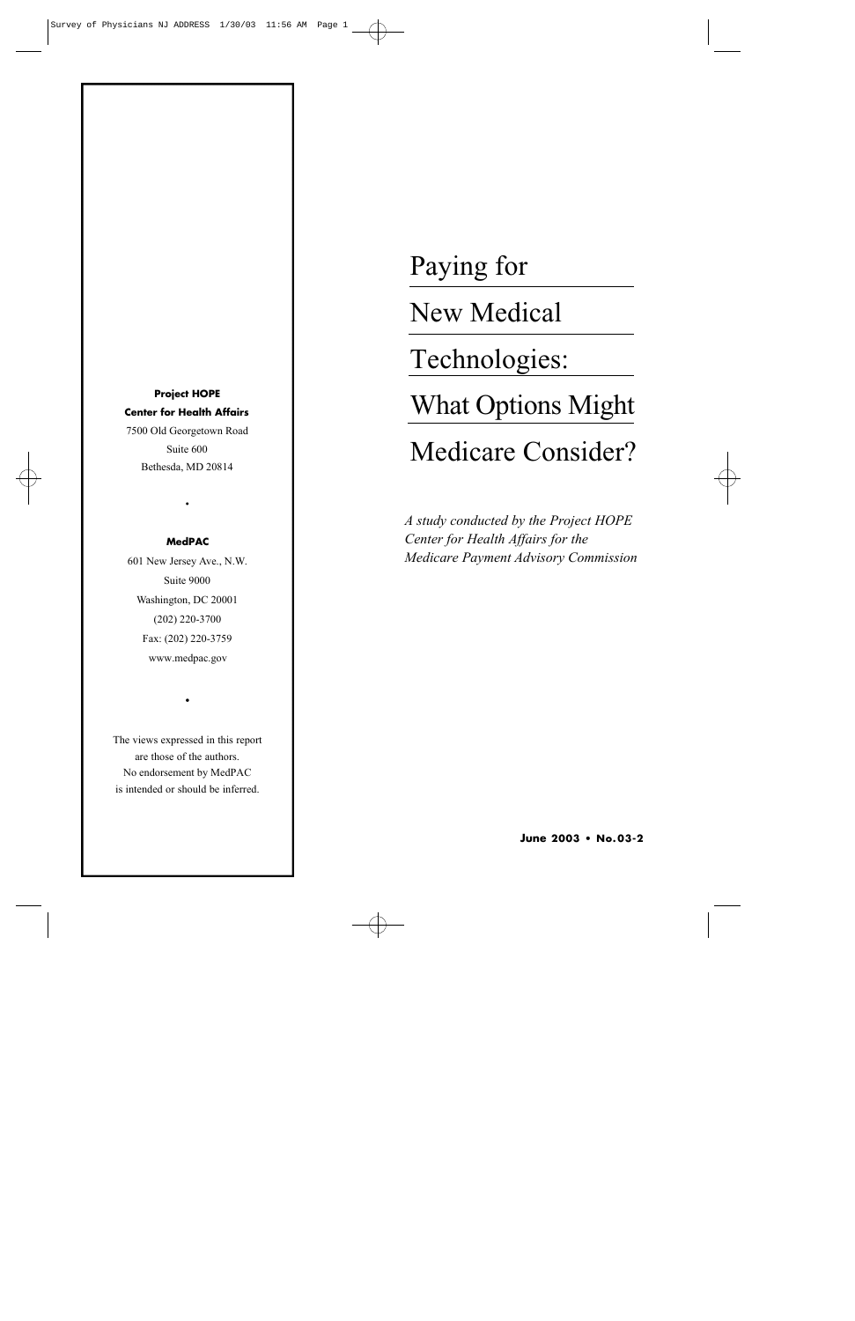**Project HOPE Center for Health Affairs** 7500 Old Georgetown Road Suite 600 Bethesda, MD 20814

#### **MedPAC**

•

601 New Jersey Ave., N.W. Suite 9000 Washington, DC 20001 (202) 220-3700 Fax: (202) 220-3759 www.medpac.gov

The views expressed in this report are those of the authors. No endorsement by MedPAC is intended or should be inferred.

•

Paying for

New Medical

Technologies:

What Options Might

# Medicare Consider?

*A study conducted by the Project HOPE Center for Health Affairs for the Medicare Payment Advisory Commission*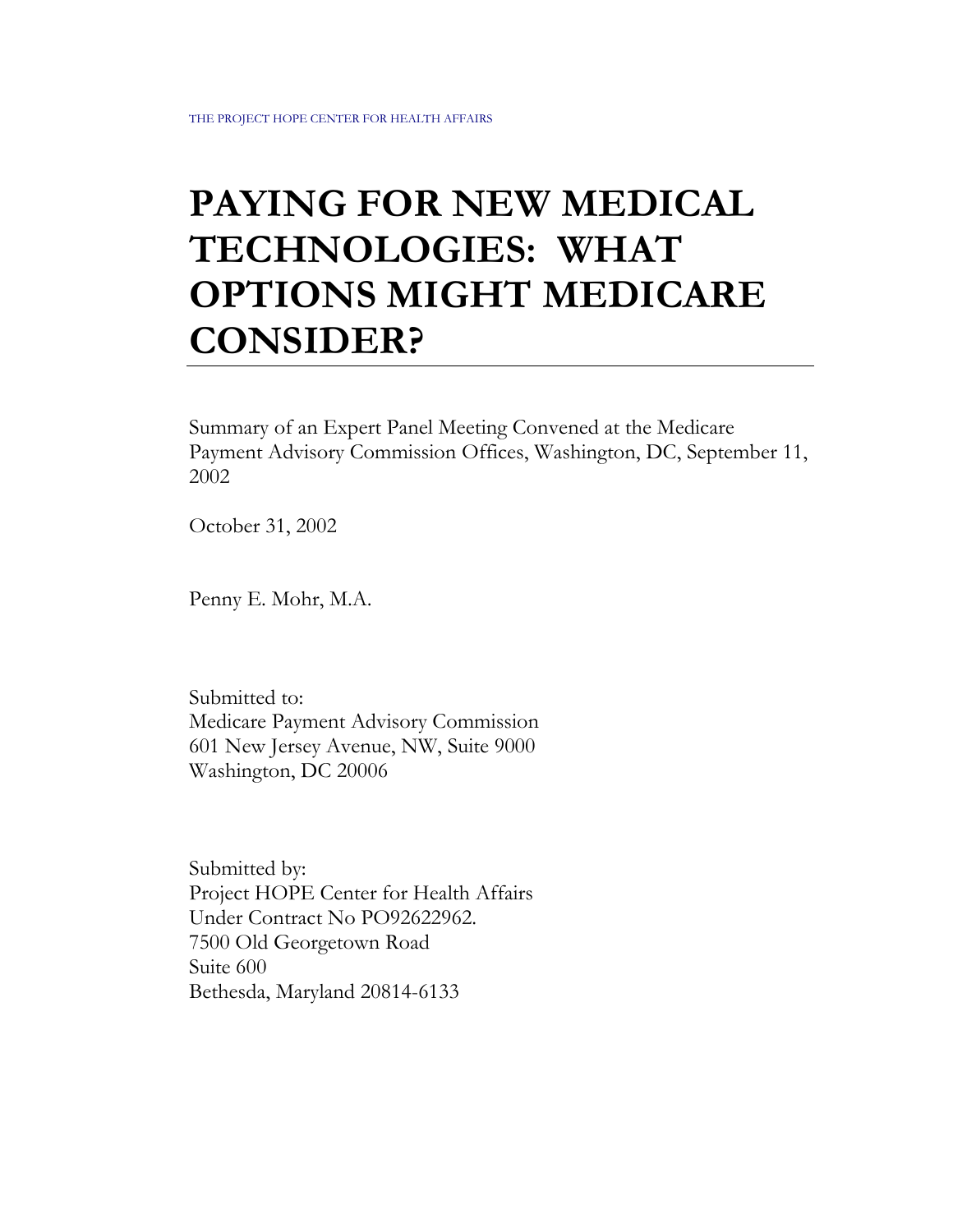# **PAYING FOR NEW MEDICAL TECHNOLOGIES: WHAT OPTIONS MIGHT MEDICARE CONSIDER?**

Summary of an Expert Panel Meeting Convened at the Medicare Payment Advisory Commission Offices, Washington, DC, September 11, 2002

October 31, 2002

Penny E. Mohr, M.A.

Submitted to: Medicare Payment Advisory Commission 601 New Jersey Avenue, NW, Suite 9000 Washington, DC 20006

Submitted by: Project HOPE Center for Health Affairs Under Contract No PO92622962. 7500 Old Georgetown Road Suite 600 Bethesda, Maryland 20814-6133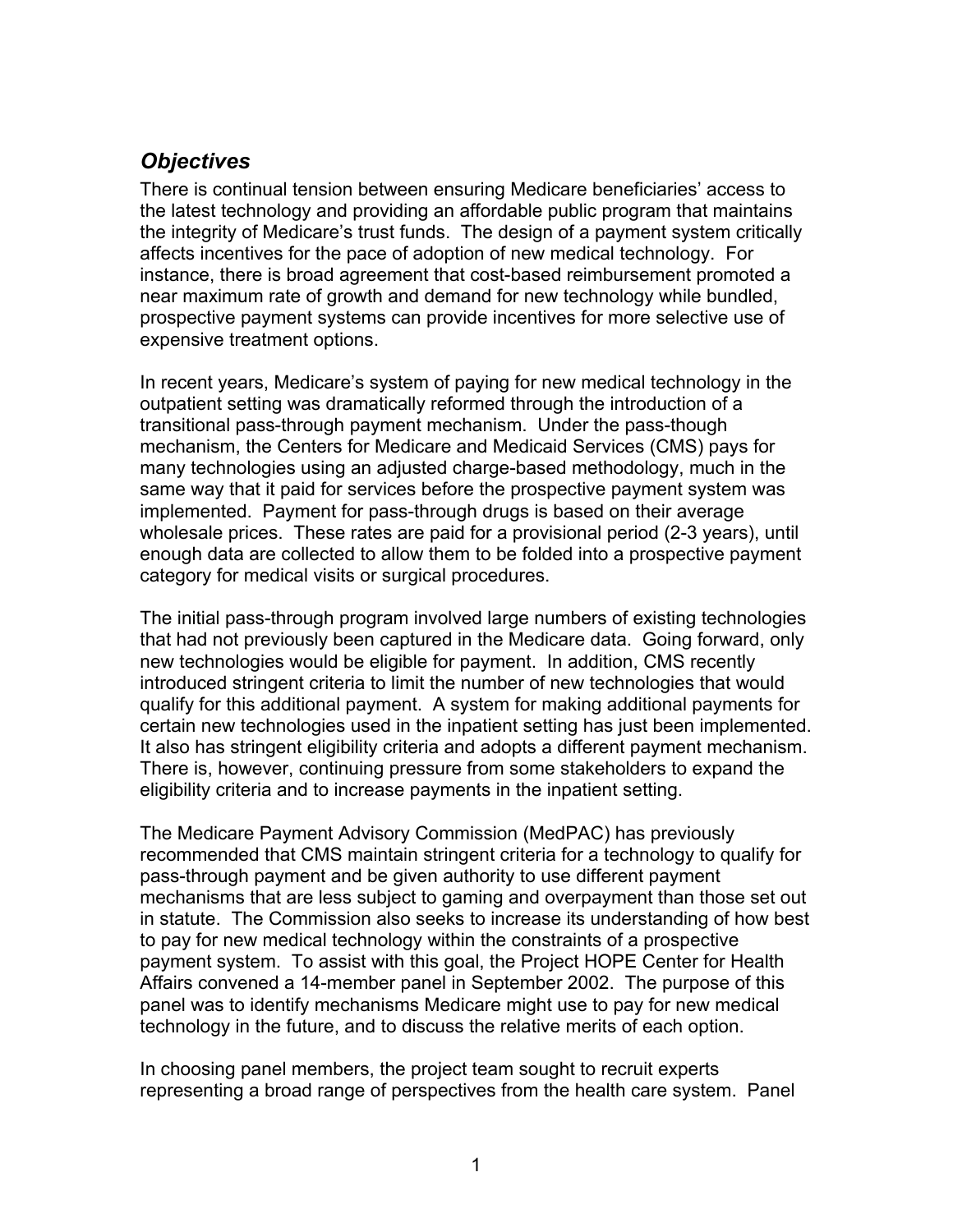# *Objectives*

There is continual tension between ensuring Medicare beneficiaries' access to the latest technology and providing an affordable public program that maintains the integrity of Medicare's trust funds. The design of a payment system critically affects incentives for the pace of adoption of new medical technology. For instance, there is broad agreement that cost-based reimbursement promoted a near maximum rate of growth and demand for new technology while bundled, prospective payment systems can provide incentives for more selective use of expensive treatment options.

In recent years, Medicare's system of paying for new medical technology in the outpatient setting was dramatically reformed through the introduction of a transitional pass-through payment mechanism. Under the pass-though mechanism, the Centers for Medicare and Medicaid Services (CMS) pays for many technologies using an adjusted charge-based methodology, much in the same way that it paid for services before the prospective payment system was implemented. Payment for pass-through drugs is based on their average wholesale prices. These rates are paid for a provisional period (2-3 years), until enough data are collected to allow them to be folded into a prospective payment category for medical visits or surgical procedures.

The initial pass-through program involved large numbers of existing technologies that had not previously been captured in the Medicare data. Going forward, only new technologies would be eligible for payment. In addition, CMS recently introduced stringent criteria to limit the number of new technologies that would qualify for this additional payment. A system for making additional payments for certain new technologies used in the inpatient setting has just been implemented. It also has stringent eligibility criteria and adopts a different payment mechanism. There is, however, continuing pressure from some stakeholders to expand the eligibility criteria and to increase payments in the inpatient setting.

The Medicare Payment Advisory Commission (MedPAC) has previously recommended that CMS maintain stringent criteria for a technology to qualify for pass-through payment and be given authority to use different payment mechanisms that are less subject to gaming and overpayment than those set out in statute. The Commission also seeks to increase its understanding of how best to pay for new medical technology within the constraints of a prospective payment system. To assist with this goal, the Project HOPE Center for Health Affairs convened a 14-member panel in September 2002. The purpose of this panel was to identify mechanisms Medicare might use to pay for new medical technology in the future, and to discuss the relative merits of each option.

In choosing panel members, the project team sought to recruit experts representing a broad range of perspectives from the health care system. Panel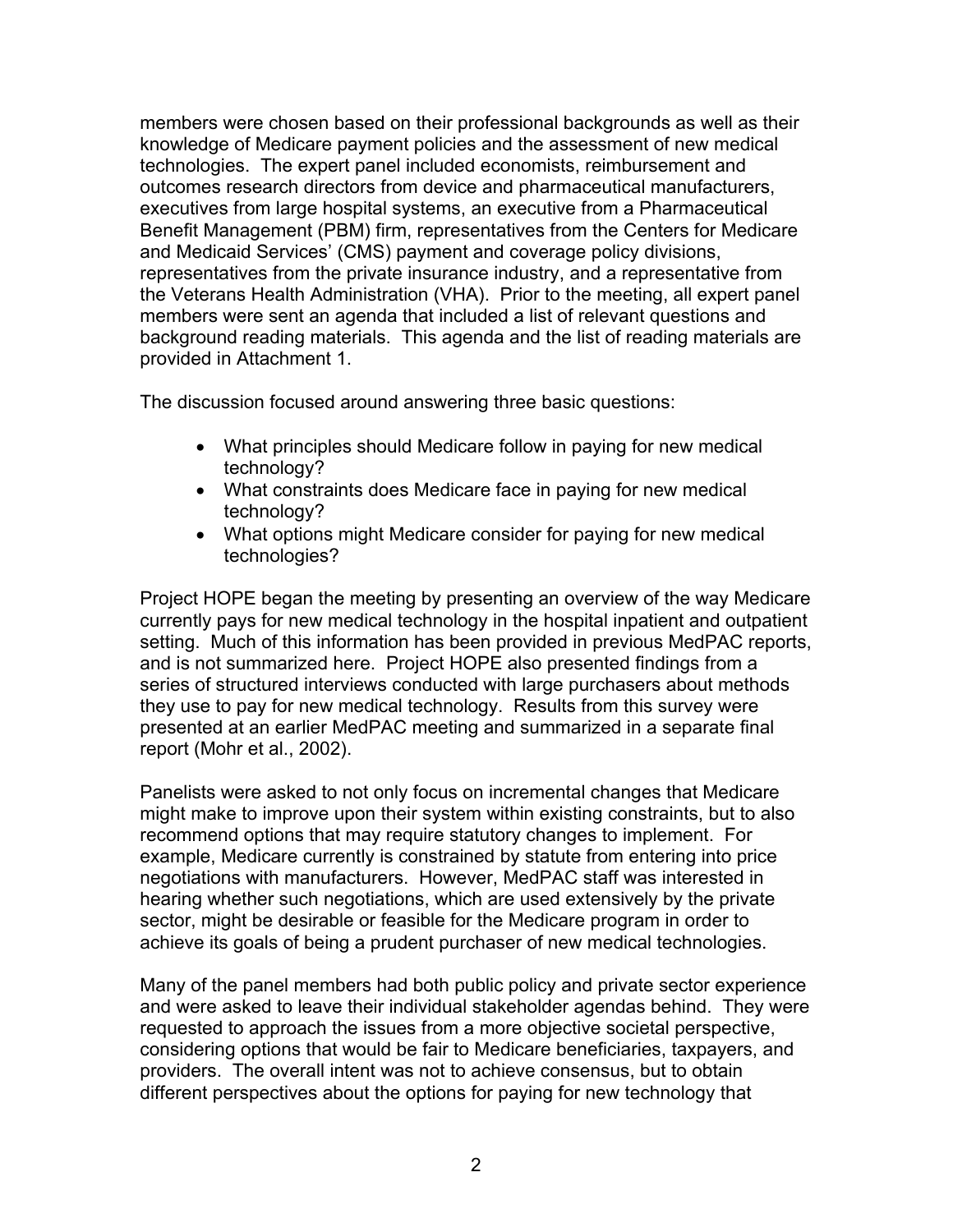members were chosen based on their professional backgrounds as well as their knowledge of Medicare payment policies and the assessment of new medical technologies. The expert panel included economists, reimbursement and outcomes research directors from device and pharmaceutical manufacturers, executives from large hospital systems, an executive from a Pharmaceutical Benefit Management (PBM) firm, representatives from the Centers for Medicare and Medicaid Services' (CMS) payment and coverage policy divisions, representatives from the private insurance industry, and a representative from the Veterans Health Administration (VHA). Prior to the meeting, all expert panel members were sent an agenda that included a list of relevant questions and background reading materials. This agenda and the list of reading materials are provided in Attachment 1.

The discussion focused around answering three basic questions:

- What principles should Medicare follow in paying for new medical technology?
- What constraints does Medicare face in paying for new medical technology?
- What options might Medicare consider for paying for new medical technologies?

Project HOPE began the meeting by presenting an overview of the way Medicare currently pays for new medical technology in the hospital inpatient and outpatient setting. Much of this information has been provided in previous MedPAC reports, and is not summarized here. Project HOPE also presented findings from a series of structured interviews conducted with large purchasers about methods they use to pay for new medical technology. Results from this survey were presented at an earlier MedPAC meeting and summarized in a separate final report (Mohr et al., 2002).

Panelists were asked to not only focus on incremental changes that Medicare might make to improve upon their system within existing constraints, but to also recommend options that may require statutory changes to implement. For example, Medicare currently is constrained by statute from entering into price negotiations with manufacturers. However, MedPAC staff was interested in hearing whether such negotiations, which are used extensively by the private sector, might be desirable or feasible for the Medicare program in order to achieve its goals of being a prudent purchaser of new medical technologies.

Many of the panel members had both public policy and private sector experience and were asked to leave their individual stakeholder agendas behind. They were requested to approach the issues from a more objective societal perspective, considering options that would be fair to Medicare beneficiaries, taxpayers, and providers. The overall intent was not to achieve consensus, but to obtain different perspectives about the options for paying for new technology that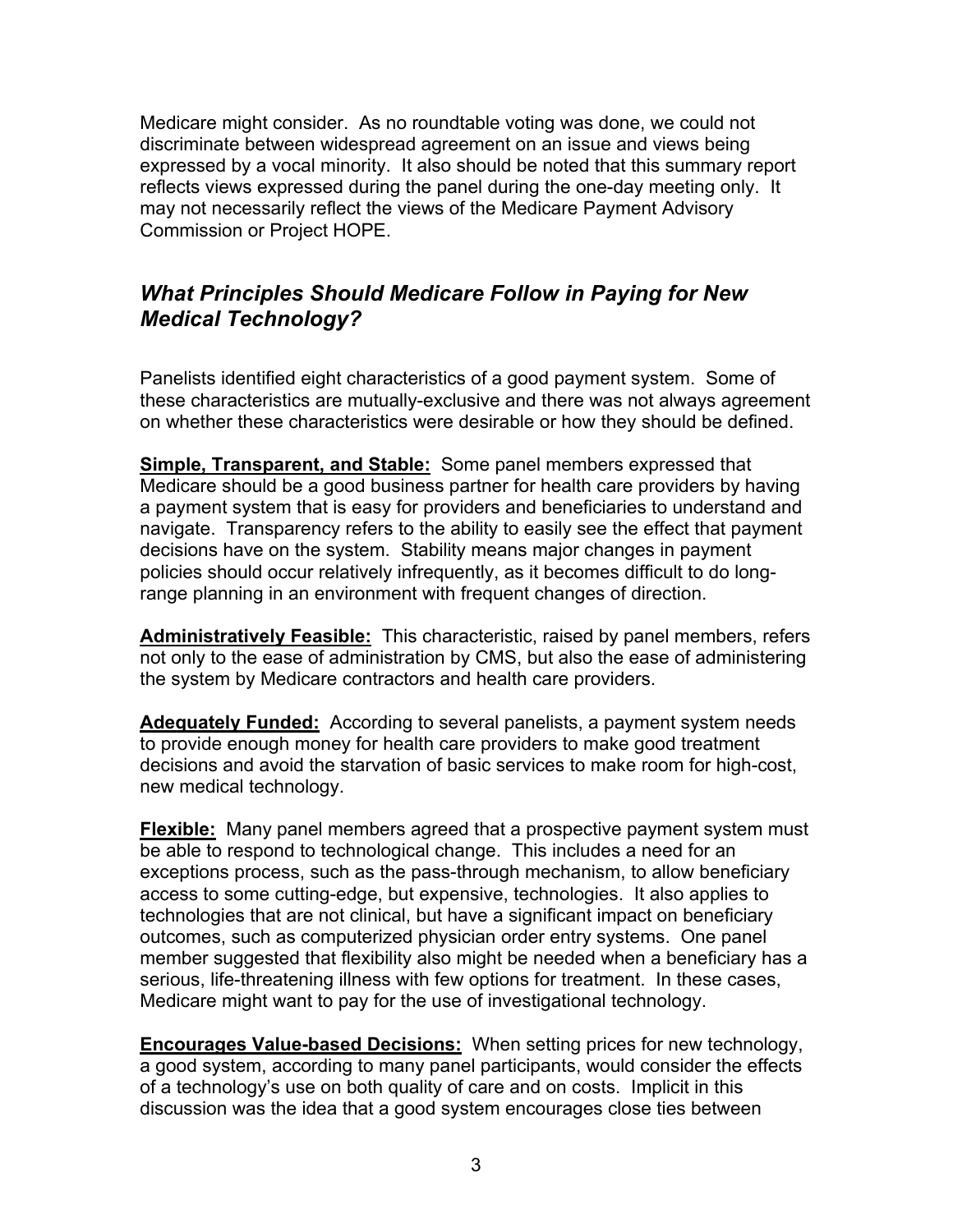Medicare might consider. As no roundtable voting was done, we could not discriminate between widespread agreement on an issue and views being expressed by a vocal minority. It also should be noted that this summary report reflects views expressed during the panel during the one-day meeting only. It may not necessarily reflect the views of the Medicare Payment Advisory Commission or Project HOPE.

# *What Principles Should Medicare Follow in Paying for New Medical Technology?*

Panelists identified eight characteristics of a good payment system. Some of these characteristics are mutually-exclusive and there was not always agreement on whether these characteristics were desirable or how they should be defined.

**Simple, Transparent, and Stable:** Some panel members expressed that Medicare should be a good business partner for health care providers by having a payment system that is easy for providers and beneficiaries to understand and navigate. Transparency refers to the ability to easily see the effect that payment decisions have on the system. Stability means major changes in payment policies should occur relatively infrequently, as it becomes difficult to do longrange planning in an environment with frequent changes of direction.

**Administratively Feasible:** This characteristic, raised by panel members, refers not only to the ease of administration by CMS, but also the ease of administering the system by Medicare contractors and health care providers.

**Adequately Funded:** According to several panelists, a payment system needs to provide enough money for health care providers to make good treatment decisions and avoid the starvation of basic services to make room for high-cost, new medical technology.

**Flexible:** Many panel members agreed that a prospective payment system must be able to respond to technological change. This includes a need for an exceptions process, such as the pass-through mechanism, to allow beneficiary access to some cutting-edge, but expensive, technologies. It also applies to technologies that are not clinical, but have a significant impact on beneficiary outcomes, such as computerized physician order entry systems. One panel member suggested that flexibility also might be needed when a beneficiary has a serious, life-threatening illness with few options for treatment. In these cases, Medicare might want to pay for the use of investigational technology.

**Encourages Value-based Decisions:** When setting prices for new technology, a good system, according to many panel participants, would consider the effects of a technology's use on both quality of care and on costs. Implicit in this discussion was the idea that a good system encourages close ties between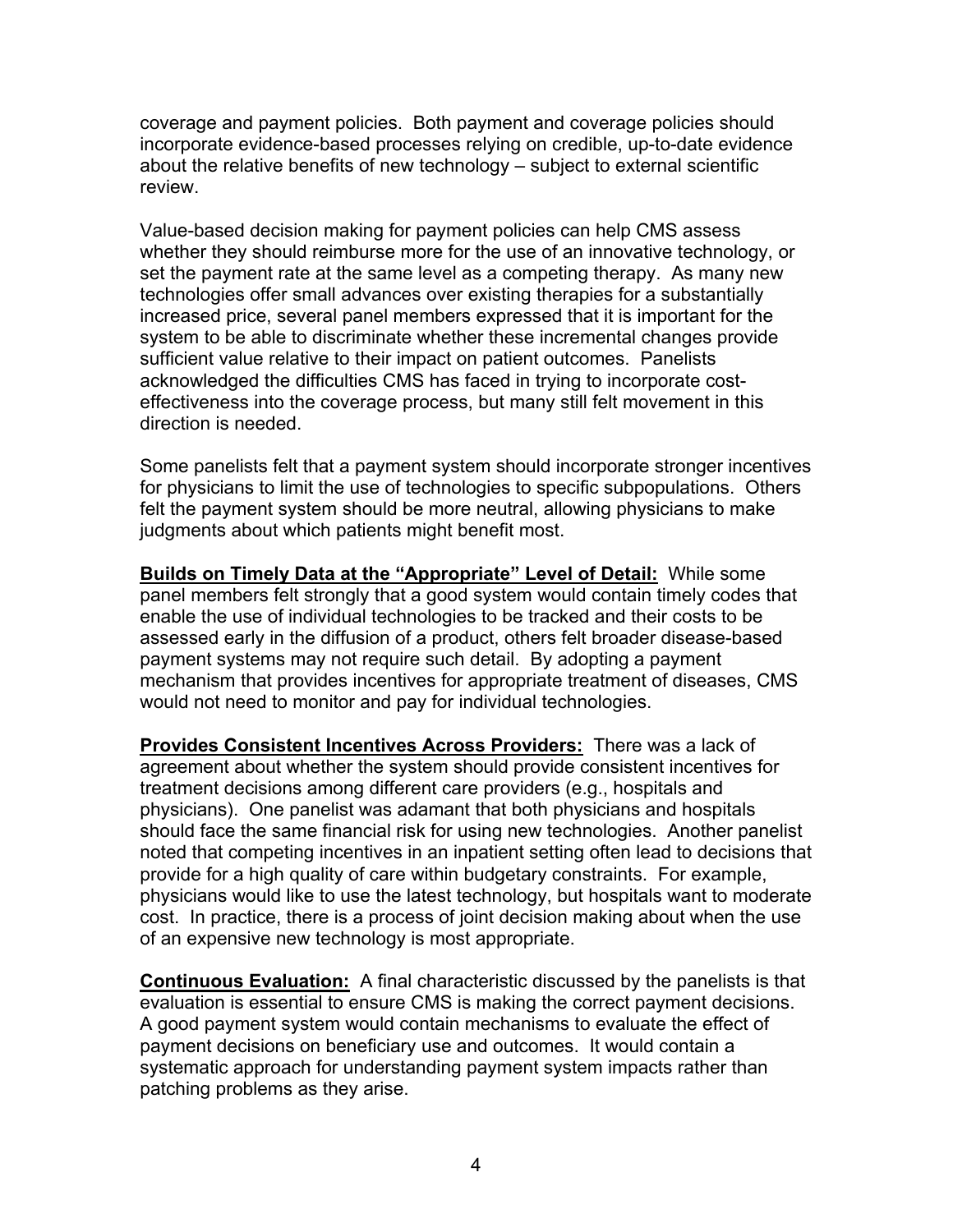coverage and payment policies. Both payment and coverage policies should incorporate evidence-based processes relying on credible, up-to-date evidence about the relative benefits of new technology – subject to external scientific review.

Value-based decision making for payment policies can help CMS assess whether they should reimburse more for the use of an innovative technology, or set the payment rate at the same level as a competing therapy. As many new technologies offer small advances over existing therapies for a substantially increased price, several panel members expressed that it is important for the system to be able to discriminate whether these incremental changes provide sufficient value relative to their impact on patient outcomes. Panelists acknowledged the difficulties CMS has faced in trying to incorporate costeffectiveness into the coverage process, but many still felt movement in this direction is needed.

Some panelists felt that a payment system should incorporate stronger incentives for physicians to limit the use of technologies to specific subpopulations. Others felt the payment system should be more neutral, allowing physicians to make judgments about which patients might benefit most.

**Builds on Timely Data at the "Appropriate" Level of Detail:** While some panel members felt strongly that a good system would contain timely codes that enable the use of individual technologies to be tracked and their costs to be assessed early in the diffusion of a product, others felt broader disease-based payment systems may not require such detail. By adopting a payment mechanism that provides incentives for appropriate treatment of diseases, CMS would not need to monitor and pay for individual technologies.

**Provides Consistent Incentives Across Providers:** There was a lack of agreement about whether the system should provide consistent incentives for treatment decisions among different care providers (e.g., hospitals and physicians). One panelist was adamant that both physicians and hospitals should face the same financial risk for using new technologies. Another panelist noted that competing incentives in an inpatient setting often lead to decisions that provide for a high quality of care within budgetary constraints. For example, physicians would like to use the latest technology, but hospitals want to moderate cost. In practice, there is a process of joint decision making about when the use of an expensive new technology is most appropriate.

**Continuous Evaluation:** A final characteristic discussed by the panelists is that evaluation is essential to ensure CMS is making the correct payment decisions. A good payment system would contain mechanisms to evaluate the effect of payment decisions on beneficiary use and outcomes. It would contain a systematic approach for understanding payment system impacts rather than patching problems as they arise.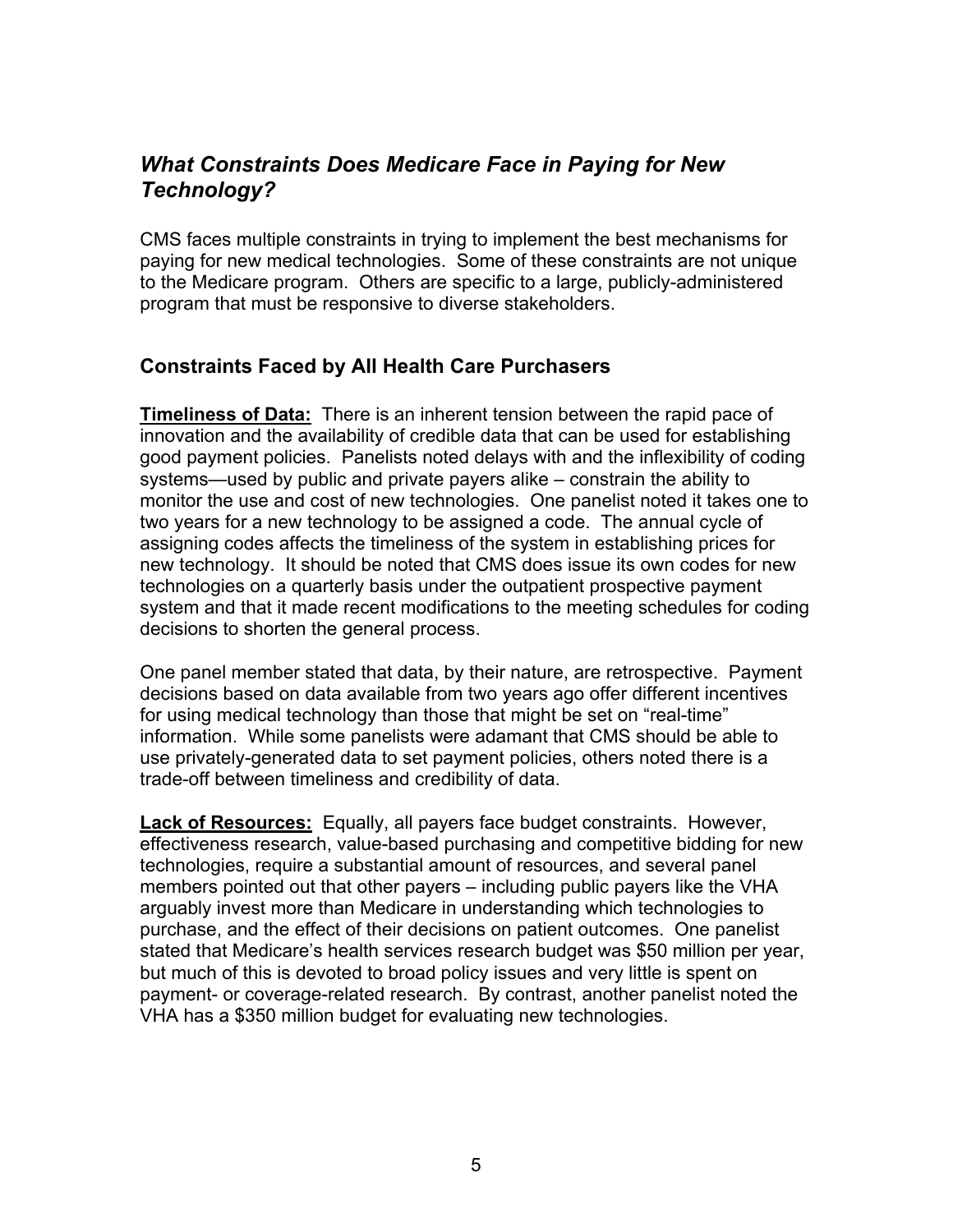## *What Constraints Does Medicare Face in Paying for New Technology?*

CMS faces multiple constraints in trying to implement the best mechanisms for paying for new medical technologies. Some of these constraints are not unique to the Medicare program. Others are specific to a large, publicly-administered program that must be responsive to diverse stakeholders.

## **Constraints Faced by All Health Care Purchasers**

**Timeliness of Data:** There is an inherent tension between the rapid pace of innovation and the availability of credible data that can be used for establishing good payment policies. Panelists noted delays with and the inflexibility of coding systems—used by public and private payers alike – constrain the ability to monitor the use and cost of new technologies. One panelist noted it takes one to two years for a new technology to be assigned a code. The annual cycle of assigning codes affects the timeliness of the system in establishing prices for new technology. It should be noted that CMS does issue its own codes for new technologies on a quarterly basis under the outpatient prospective payment system and that it made recent modifications to the meeting schedules for coding decisions to shorten the general process.

One panel member stated that data, by their nature, are retrospective. Payment decisions based on data available from two years ago offer different incentives for using medical technology than those that might be set on "real-time" information. While some panelists were adamant that CMS should be able to use privately-generated data to set payment policies, others noted there is a trade-off between timeliness and credibility of data.

**Lack of Resources:** Equally, all payers face budget constraints. However, effectiveness research, value-based purchasing and competitive bidding for new technologies, require a substantial amount of resources, and several panel members pointed out that other payers – including public payers like the VHA arguably invest more than Medicare in understanding which technologies to purchase, and the effect of their decisions on patient outcomes. One panelist stated that Medicare's health services research budget was \$50 million per year, but much of this is devoted to broad policy issues and very little is spent on payment- or coverage-related research. By contrast, another panelist noted the VHA has a \$350 million budget for evaluating new technologies.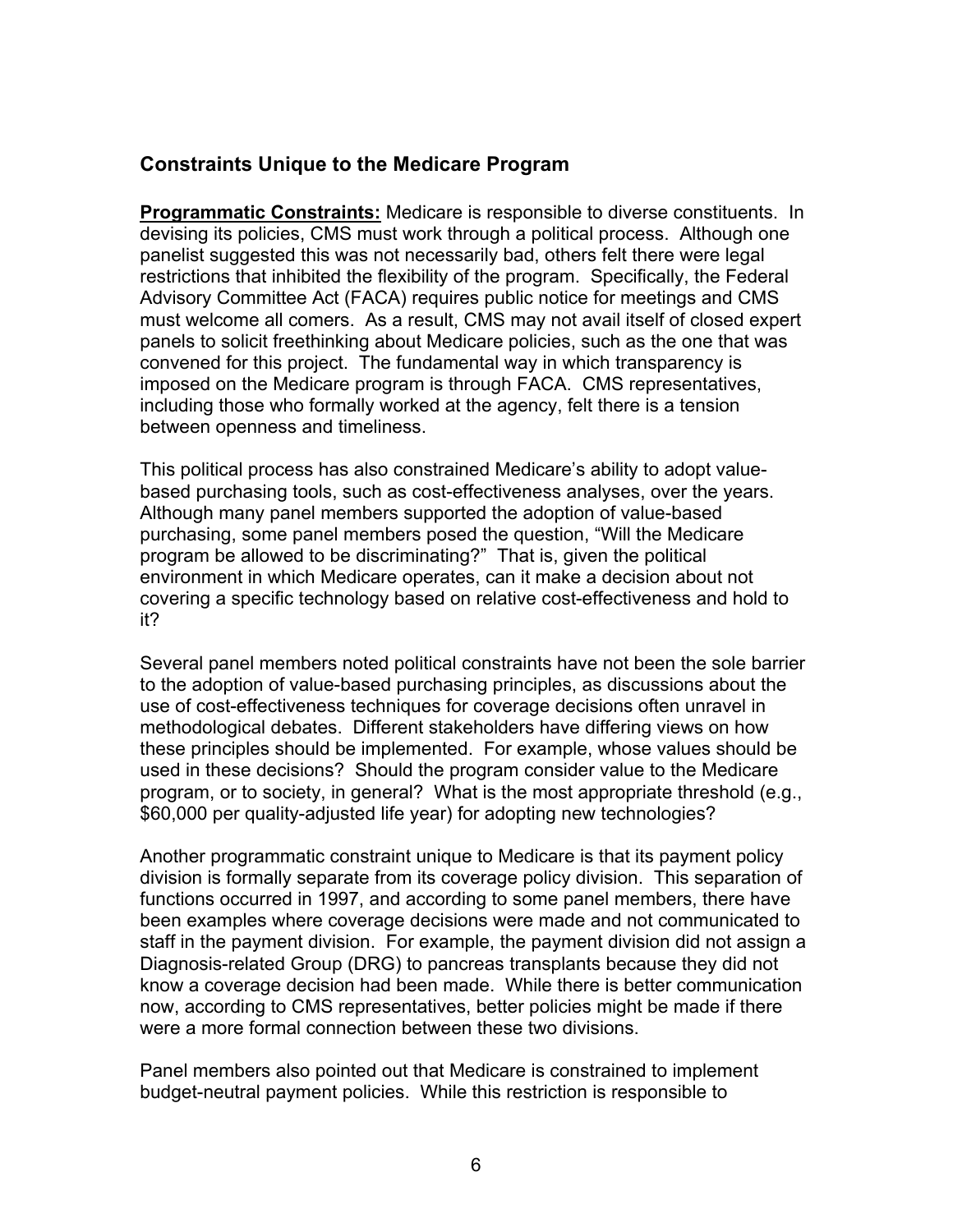#### **Constraints Unique to the Medicare Program**

**Programmatic Constraints:** Medicare is responsible to diverse constituents. In devising its policies, CMS must work through a political process. Although one panelist suggested this was not necessarily bad, others felt there were legal restrictions that inhibited the flexibility of the program. Specifically, the Federal Advisory Committee Act (FACA) requires public notice for meetings and CMS must welcome all comers. As a result, CMS may not avail itself of closed expert panels to solicit freethinking about Medicare policies, such as the one that was convened for this project. The fundamental way in which transparency is imposed on the Medicare program is through FACA. CMS representatives, including those who formally worked at the agency, felt there is a tension between openness and timeliness.

This political process has also constrained Medicare's ability to adopt valuebased purchasing tools, such as cost-effectiveness analyses, over the years. Although many panel members supported the adoption of value-based purchasing, some panel members posed the question, "Will the Medicare program be allowed to be discriminating?" That is, given the political environment in which Medicare operates, can it make a decision about not covering a specific technology based on relative cost-effectiveness and hold to it?

Several panel members noted political constraints have not been the sole barrier to the adoption of value-based purchasing principles, as discussions about the use of cost-effectiveness techniques for coverage decisions often unravel in methodological debates. Different stakeholders have differing views on how these principles should be implemented. For example, whose values should be used in these decisions? Should the program consider value to the Medicare program, or to society, in general? What is the most appropriate threshold (e.g., \$60,000 per quality-adjusted life year) for adopting new technologies?

Another programmatic constraint unique to Medicare is that its payment policy division is formally separate from its coverage policy division. This separation of functions occurred in 1997, and according to some panel members, there have been examples where coverage decisions were made and not communicated to staff in the payment division. For example, the payment division did not assign a Diagnosis-related Group (DRG) to pancreas transplants because they did not know a coverage decision had been made. While there is better communication now, according to CMS representatives, better policies might be made if there were a more formal connection between these two divisions.

Panel members also pointed out that Medicare is constrained to implement budget-neutral payment policies. While this restriction is responsible to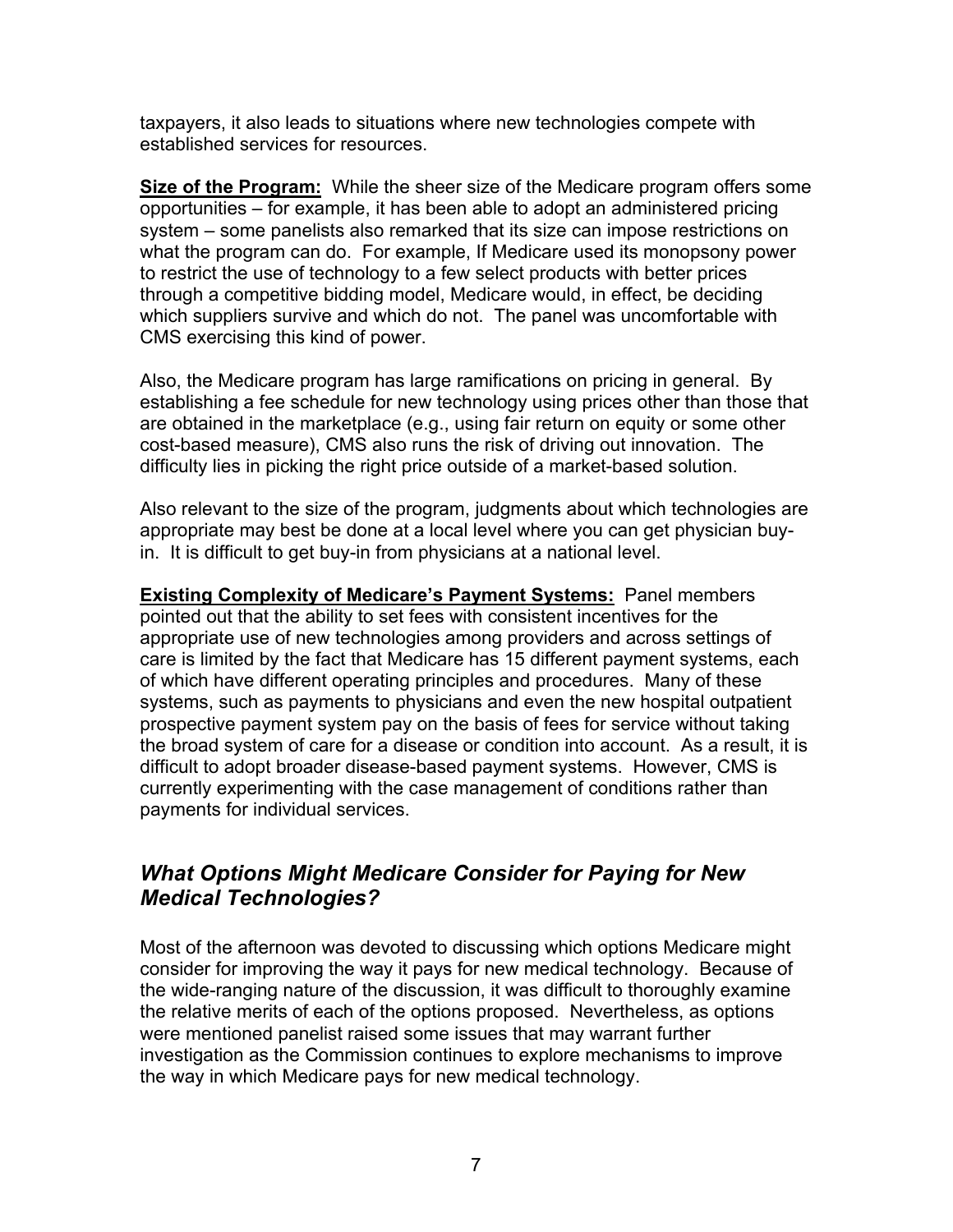taxpayers, it also leads to situations where new technologies compete with established services for resources.

**Size of the Program:** While the sheer size of the Medicare program offers some opportunities – for example, it has been able to adopt an administered pricing system – some panelists also remarked that its size can impose restrictions on what the program can do. For example, If Medicare used its monopsony power to restrict the use of technology to a few select products with better prices through a competitive bidding model, Medicare would, in effect, be deciding which suppliers survive and which do not. The panel was uncomfortable with CMS exercising this kind of power.

Also, the Medicare program has large ramifications on pricing in general. By establishing a fee schedule for new technology using prices other than those that are obtained in the marketplace (e.g., using fair return on equity or some other cost-based measure), CMS also runs the risk of driving out innovation. The difficulty lies in picking the right price outside of a market-based solution.

Also relevant to the size of the program, judgments about which technologies are appropriate may best be done at a local level where you can get physician buyin. It is difficult to get buy-in from physicians at a national level.

**Existing Complexity of Medicare's Payment Systems:** Panel members pointed out that the ability to set fees with consistent incentives for the appropriate use of new technologies among providers and across settings of care is limited by the fact that Medicare has 15 different payment systems, each of which have different operating principles and procedures. Many of these systems, such as payments to physicians and even the new hospital outpatient prospective payment system pay on the basis of fees for service without taking the broad system of care for a disease or condition into account. As a result, it is difficult to adopt broader disease-based payment systems. However, CMS is currently experimenting with the case management of conditions rather than payments for individual services.

# *What Options Might Medicare Consider for Paying for New Medical Technologies?*

Most of the afternoon was devoted to discussing which options Medicare might consider for improving the way it pays for new medical technology. Because of the wide-ranging nature of the discussion, it was difficult to thoroughly examine the relative merits of each of the options proposed. Nevertheless, as options were mentioned panelist raised some issues that may warrant further investigation as the Commission continues to explore mechanisms to improve the way in which Medicare pays for new medical technology.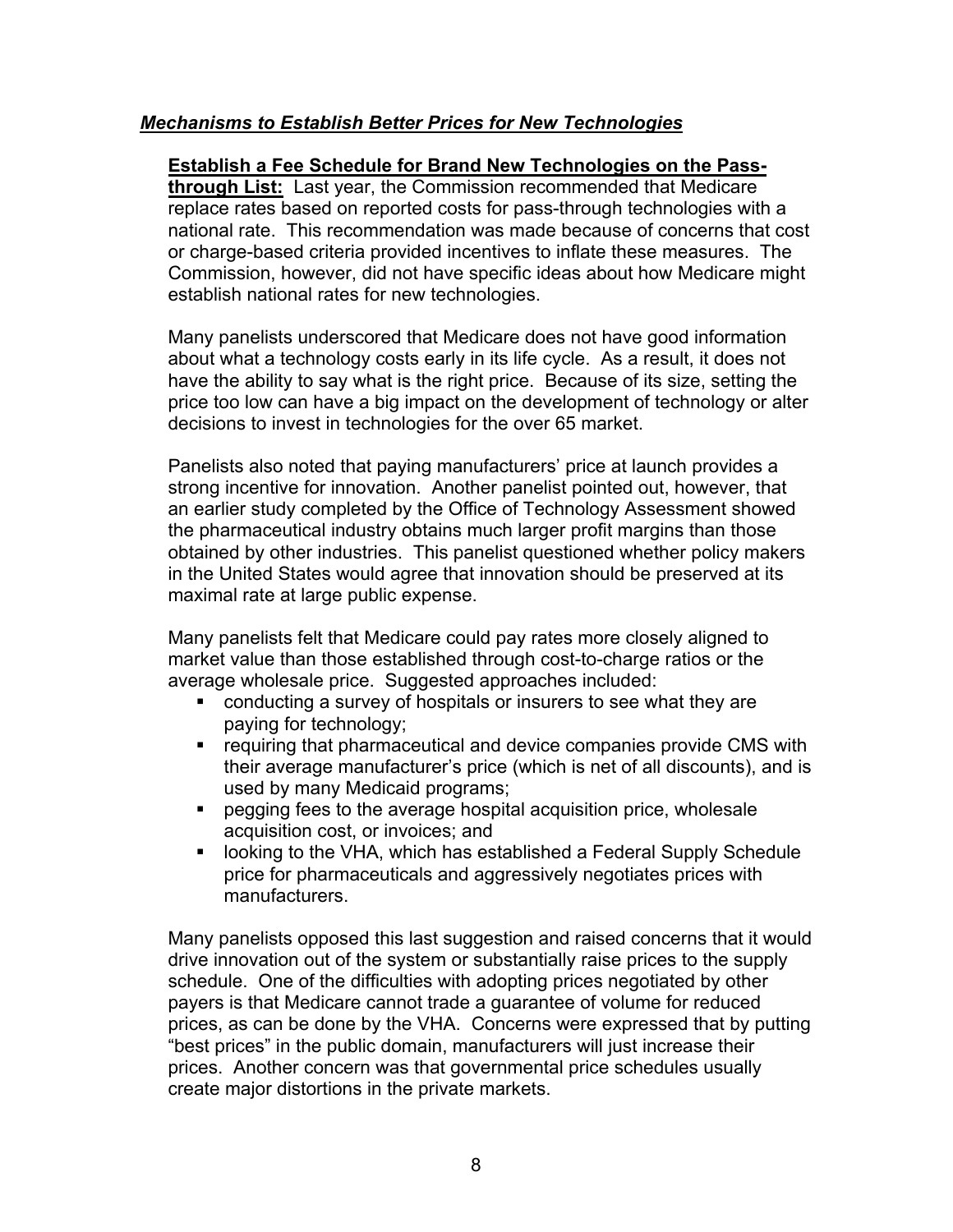#### *Mechanisms to Establish Better Prices for New Technologies*

#### **Establish a Fee Schedule for Brand New Technologies on the Pass-**

**through List:** Last year, the Commission recommended that Medicare replace rates based on reported costs for pass-through technologies with a national rate. This recommendation was made because of concerns that cost or charge-based criteria provided incentives to inflate these measures. The Commission, however, did not have specific ideas about how Medicare might establish national rates for new technologies.

Many panelists underscored that Medicare does not have good information about what a technology costs early in its life cycle. As a result, it does not have the ability to say what is the right price. Because of its size, setting the price too low can have a big impact on the development of technology or alter decisions to invest in technologies for the over 65 market.

Panelists also noted that paying manufacturers' price at launch provides a strong incentive for innovation. Another panelist pointed out, however, that an earlier study completed by the Office of Technology Assessment showed the pharmaceutical industry obtains much larger profit margins than those obtained by other industries. This panelist questioned whether policy makers in the United States would agree that innovation should be preserved at its maximal rate at large public expense.

Many panelists felt that Medicare could pay rates more closely aligned to market value than those established through cost-to-charge ratios or the average wholesale price. Suggested approaches included:

- conducting a survey of hospitals or insurers to see what they are paying for technology;
- **•** requiring that pharmaceutical and device companies provide CMS with their average manufacturer's price (which is net of all discounts), and is used by many Medicaid programs;
- **Part of the studies is absolute to the average hospital acquisition price, wholesale** acquisition cost, or invoices; and
- looking to the VHA, which has established a Federal Supply Schedule price for pharmaceuticals and aggressively negotiates prices with manufacturers.

Many panelists opposed this last suggestion and raised concerns that it would drive innovation out of the system or substantially raise prices to the supply schedule. One of the difficulties with adopting prices negotiated by other payers is that Medicare cannot trade a guarantee of volume for reduced prices, as can be done by the VHA. Concerns were expressed that by putting "best prices" in the public domain, manufacturers will just increase their prices. Another concern was that governmental price schedules usually create major distortions in the private markets.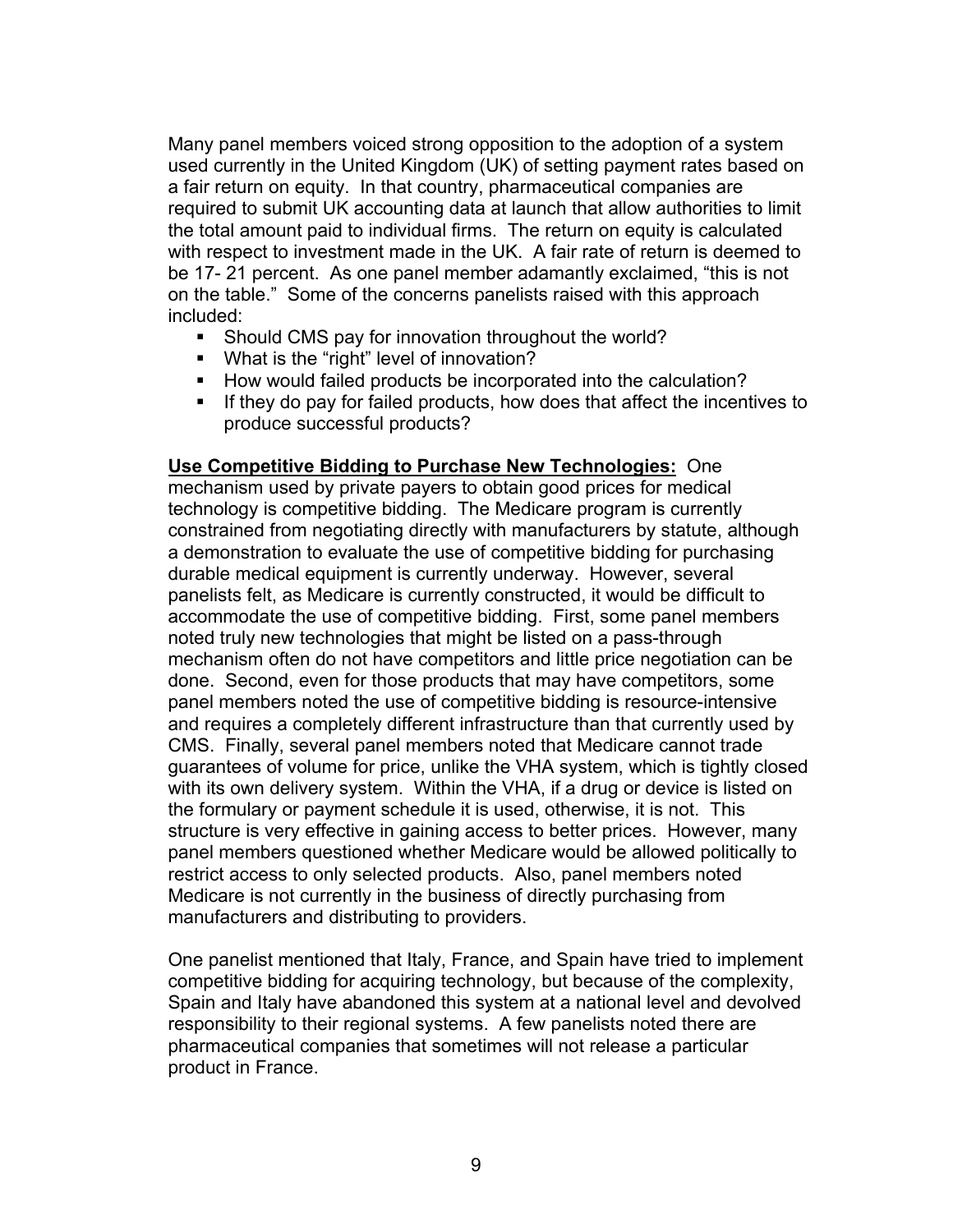Many panel members voiced strong opposition to the adoption of a system used currently in the United Kingdom (UK) of setting payment rates based on a fair return on equity. In that country, pharmaceutical companies are required to submit UK accounting data at launch that allow authorities to limit the total amount paid to individual firms. The return on equity is calculated with respect to investment made in the UK. A fair rate of return is deemed to be 17- 21 percent. As one panel member adamantly exclaimed, "this is not on the table." Some of the concerns panelists raised with this approach included:

- Should CMS pay for innovation throughout the world?
- What is the "right" level of innovation?
- How would failed products be incorporated into the calculation?
- If they do pay for failed products, how does that affect the incentives to produce successful products?

#### **Use Competitive Bidding to Purchase New Technologies:** One

mechanism used by private payers to obtain good prices for medical technology is competitive bidding. The Medicare program is currently constrained from negotiating directly with manufacturers by statute, although a demonstration to evaluate the use of competitive bidding for purchasing durable medical equipment is currently underway. However, several panelists felt, as Medicare is currently constructed, it would be difficult to accommodate the use of competitive bidding. First, some panel members noted truly new technologies that might be listed on a pass-through mechanism often do not have competitors and little price negotiation can be done. Second, even for those products that may have competitors, some panel members noted the use of competitive bidding is resource-intensive and requires a completely different infrastructure than that currently used by CMS. Finally, several panel members noted that Medicare cannot trade guarantees of volume for price, unlike the VHA system, which is tightly closed with its own delivery system. Within the VHA, if a drug or device is listed on the formulary or payment schedule it is used, otherwise, it is not. This structure is very effective in gaining access to better prices. However, many panel members questioned whether Medicare would be allowed politically to restrict access to only selected products. Also, panel members noted Medicare is not currently in the business of directly purchasing from manufacturers and distributing to providers.

One panelist mentioned that Italy, France, and Spain have tried to implement competitive bidding for acquiring technology, but because of the complexity, Spain and Italy have abandoned this system at a national level and devolved responsibility to their regional systems. A few panelists noted there are pharmaceutical companies that sometimes will not release a particular product in France.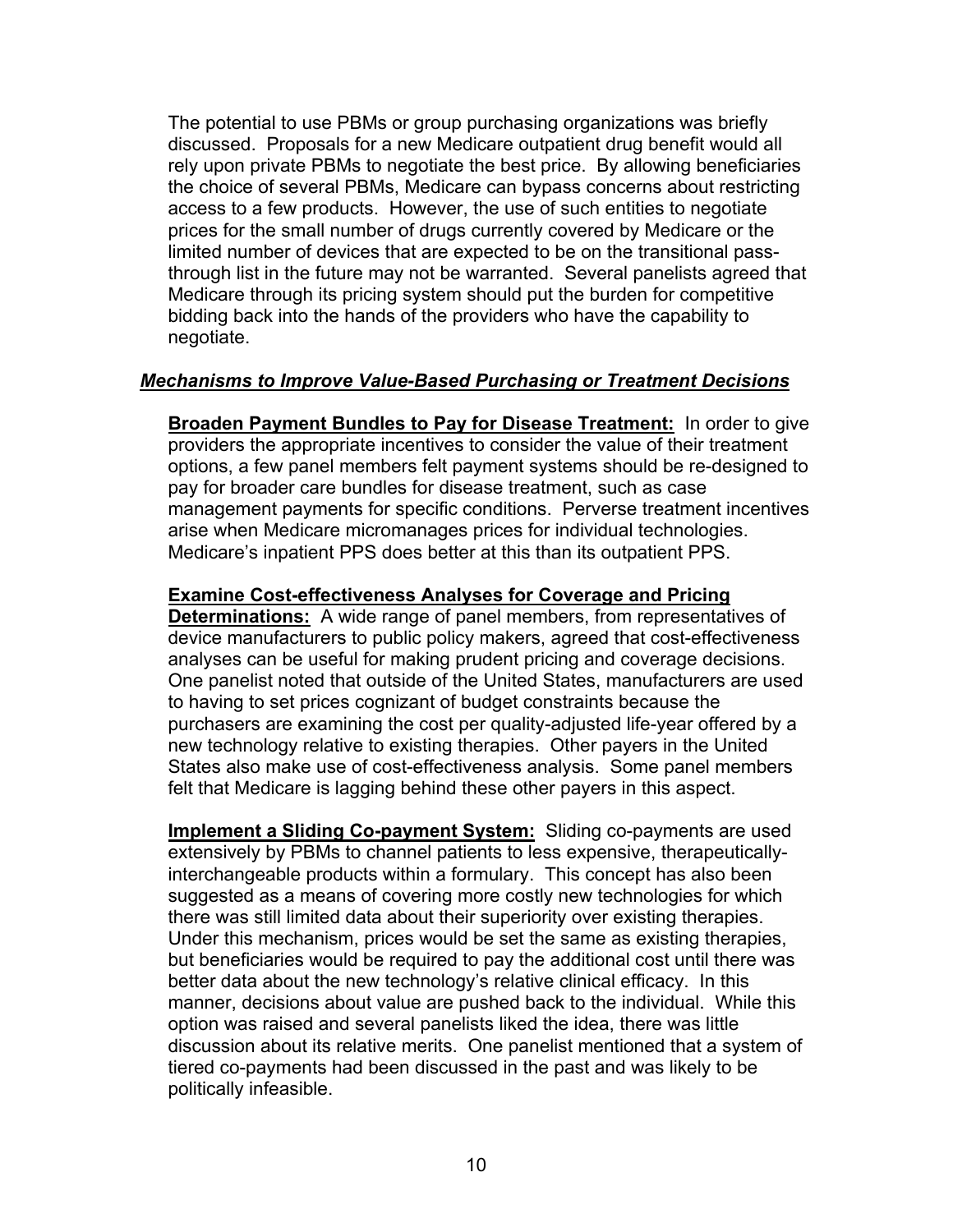The potential to use PBMs or group purchasing organizations was briefly discussed. Proposals for a new Medicare outpatient drug benefit would all rely upon private PBMs to negotiate the best price. By allowing beneficiaries the choice of several PBMs, Medicare can bypass concerns about restricting access to a few products. However, the use of such entities to negotiate prices for the small number of drugs currently covered by Medicare or the limited number of devices that are expected to be on the transitional passthrough list in the future may not be warranted. Several panelists agreed that Medicare through its pricing system should put the burden for competitive bidding back into the hands of the providers who have the capability to negotiate.

#### *Mechanisms to Improve Value-Based Purchasing or Treatment Decisions*

**Broaden Payment Bundles to Pay for Disease Treatment:** In order to give providers the appropriate incentives to consider the value of their treatment options, a few panel members felt payment systems should be re-designed to pay for broader care bundles for disease treatment, such as case management payments for specific conditions. Perverse treatment incentives arise when Medicare micromanages prices for individual technologies. Medicare's inpatient PPS does better at this than its outpatient PPS.

#### **Examine Cost-effectiveness Analyses for Coverage and Pricing**

**Determinations:** A wide range of panel members, from representatives of device manufacturers to public policy makers, agreed that cost-effectiveness analyses can be useful for making prudent pricing and coverage decisions. One panelist noted that outside of the United States, manufacturers are used to having to set prices cognizant of budget constraints because the purchasers are examining the cost per quality-adjusted life-year offered by a new technology relative to existing therapies. Other payers in the United States also make use of cost-effectiveness analysis. Some panel members felt that Medicare is lagging behind these other payers in this aspect.

**Implement a Sliding Co-payment System:** Sliding co-payments are used extensively by PBMs to channel patients to less expensive, therapeuticallyinterchangeable products within a formulary. This concept has also been suggested as a means of covering more costly new technologies for which there was still limited data about their superiority over existing therapies. Under this mechanism, prices would be set the same as existing therapies, but beneficiaries would be required to pay the additional cost until there was better data about the new technology's relative clinical efficacy. In this manner, decisions about value are pushed back to the individual. While this option was raised and several panelists liked the idea, there was little discussion about its relative merits. One panelist mentioned that a system of tiered co-payments had been discussed in the past and was likely to be politically infeasible.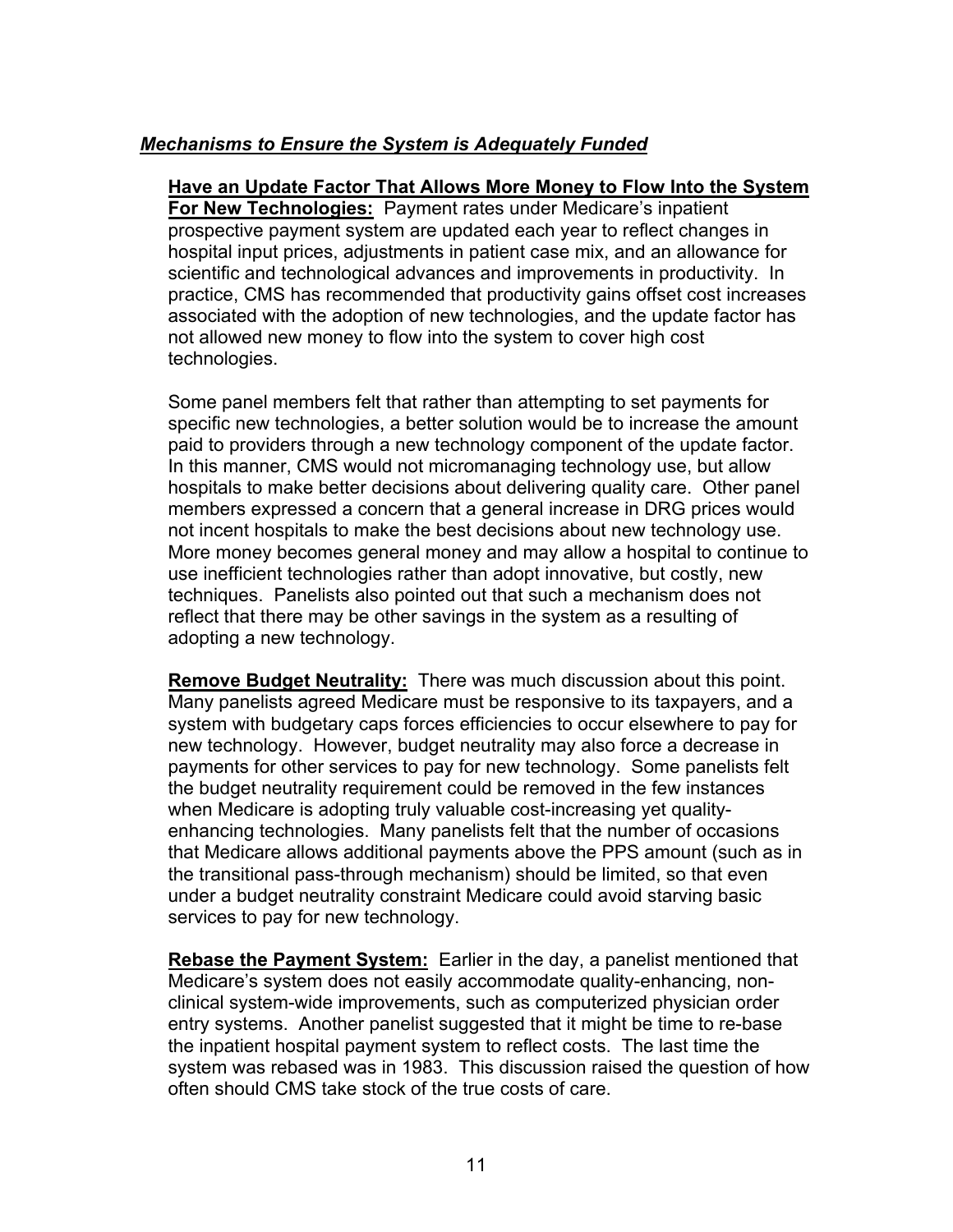#### *Mechanisms to Ensure the System is Adequately Funded*

**Have an Update Factor That Allows More Money to Flow Into the System For New Technologies:** Payment rates under Medicare's inpatient prospective payment system are updated each year to reflect changes in hospital input prices, adjustments in patient case mix, and an allowance for scientific and technological advances and improvements in productivity. In practice, CMS has recommended that productivity gains offset cost increases associated with the adoption of new technologies, and the update factor has not allowed new money to flow into the system to cover high cost technologies.

Some panel members felt that rather than attempting to set payments for specific new technologies, a better solution would be to increase the amount paid to providers through a new technology component of the update factor. In this manner, CMS would not micromanaging technology use, but allow hospitals to make better decisions about delivering quality care. Other panel members expressed a concern that a general increase in DRG prices would not incent hospitals to make the best decisions about new technology use. More money becomes general money and may allow a hospital to continue to use inefficient technologies rather than adopt innovative, but costly, new techniques. Panelists also pointed out that such a mechanism does not reflect that there may be other savings in the system as a resulting of adopting a new technology.

**Remove Budget Neutrality:** There was much discussion about this point. Many panelists agreed Medicare must be responsive to its taxpayers, and a system with budgetary caps forces efficiencies to occur elsewhere to pay for new technology. However, budget neutrality may also force a decrease in payments for other services to pay for new technology. Some panelists felt the budget neutrality requirement could be removed in the few instances when Medicare is adopting truly valuable cost-increasing yet qualityenhancing technologies. Many panelists felt that the number of occasions that Medicare allows additional payments above the PPS amount (such as in the transitional pass-through mechanism) should be limited, so that even under a budget neutrality constraint Medicare could avoid starving basic services to pay for new technology.

**Rebase the Payment System:** Earlier in the day, a panelist mentioned that Medicare's system does not easily accommodate quality-enhancing, nonclinical system-wide improvements, such as computerized physician order entry systems. Another panelist suggested that it might be time to re-base the inpatient hospital payment system to reflect costs. The last time the system was rebased was in 1983. This discussion raised the question of how often should CMS take stock of the true costs of care.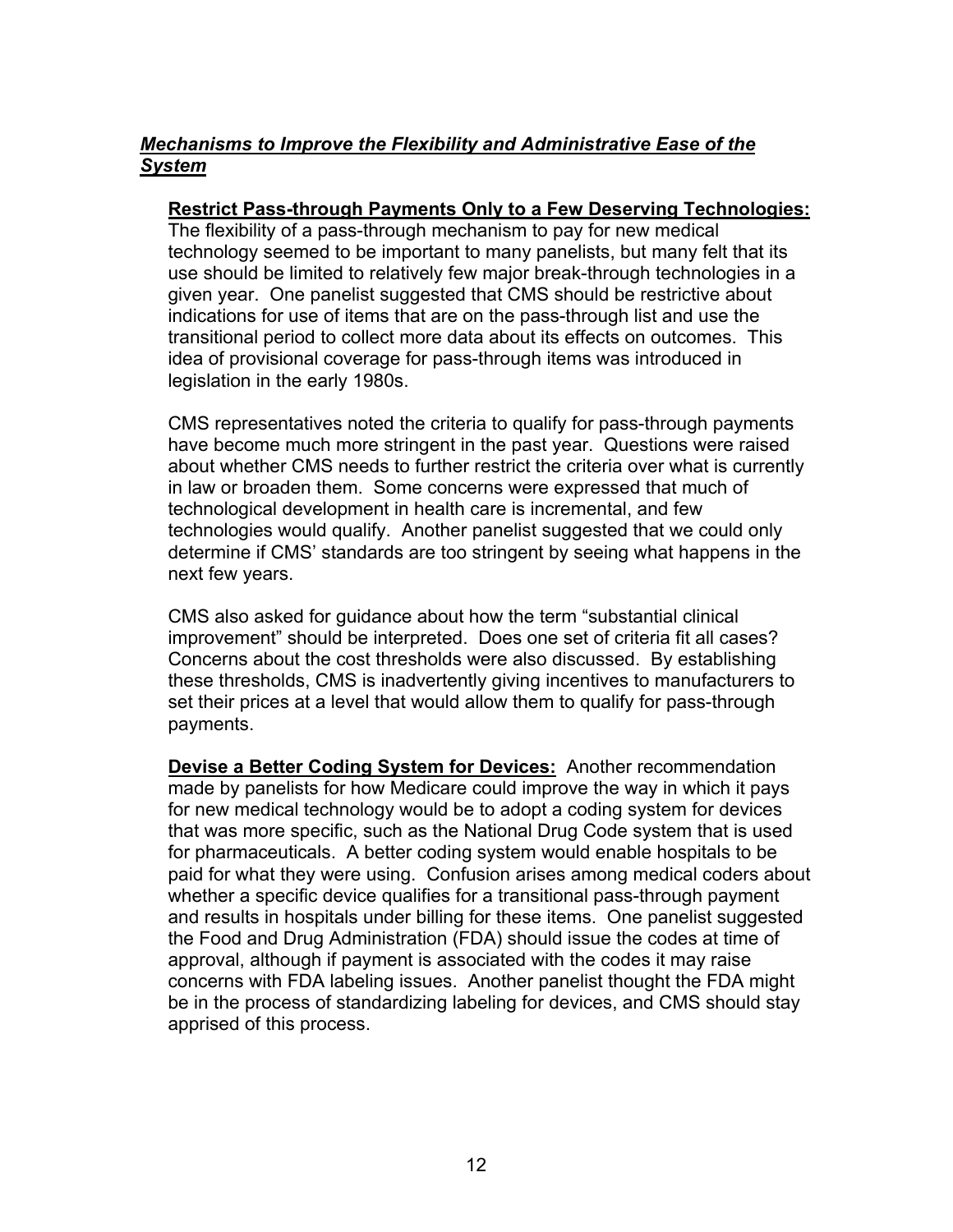### *Mechanisms to Improve the Flexibility and Administrative Ease of the System*

#### **Restrict Pass-through Payments Only to a Few Deserving Technologies:**

The flexibility of a pass-through mechanism to pay for new medical technology seemed to be important to many panelists, but many felt that its use should be limited to relatively few major break-through technologies in a given year. One panelist suggested that CMS should be restrictive about indications for use of items that are on the pass-through list and use the transitional period to collect more data about its effects on outcomes. This idea of provisional coverage for pass-through items was introduced in legislation in the early 1980s.

CMS representatives noted the criteria to qualify for pass-through payments have become much more stringent in the past year. Questions were raised about whether CMS needs to further restrict the criteria over what is currently in law or broaden them. Some concerns were expressed that much of technological development in health care is incremental, and few technologies would qualify. Another panelist suggested that we could only determine if CMS' standards are too stringent by seeing what happens in the next few years.

CMS also asked for guidance about how the term "substantial clinical improvement" should be interpreted. Does one set of criteria fit all cases? Concerns about the cost thresholds were also discussed. By establishing these thresholds, CMS is inadvertently giving incentives to manufacturers to set their prices at a level that would allow them to qualify for pass-through payments.

**Devise a Better Coding System for Devices:** Another recommendation made by panelists for how Medicare could improve the way in which it pays for new medical technology would be to adopt a coding system for devices that was more specific, such as the National Drug Code system that is used for pharmaceuticals. A better coding system would enable hospitals to be paid for what they were using. Confusion arises among medical coders about whether a specific device qualifies for a transitional pass-through payment and results in hospitals under billing for these items. One panelist suggested the Food and Drug Administration (FDA) should issue the codes at time of approval, although if payment is associated with the codes it may raise concerns with FDA labeling issues. Another panelist thought the FDA might be in the process of standardizing labeling for devices, and CMS should stay apprised of this process.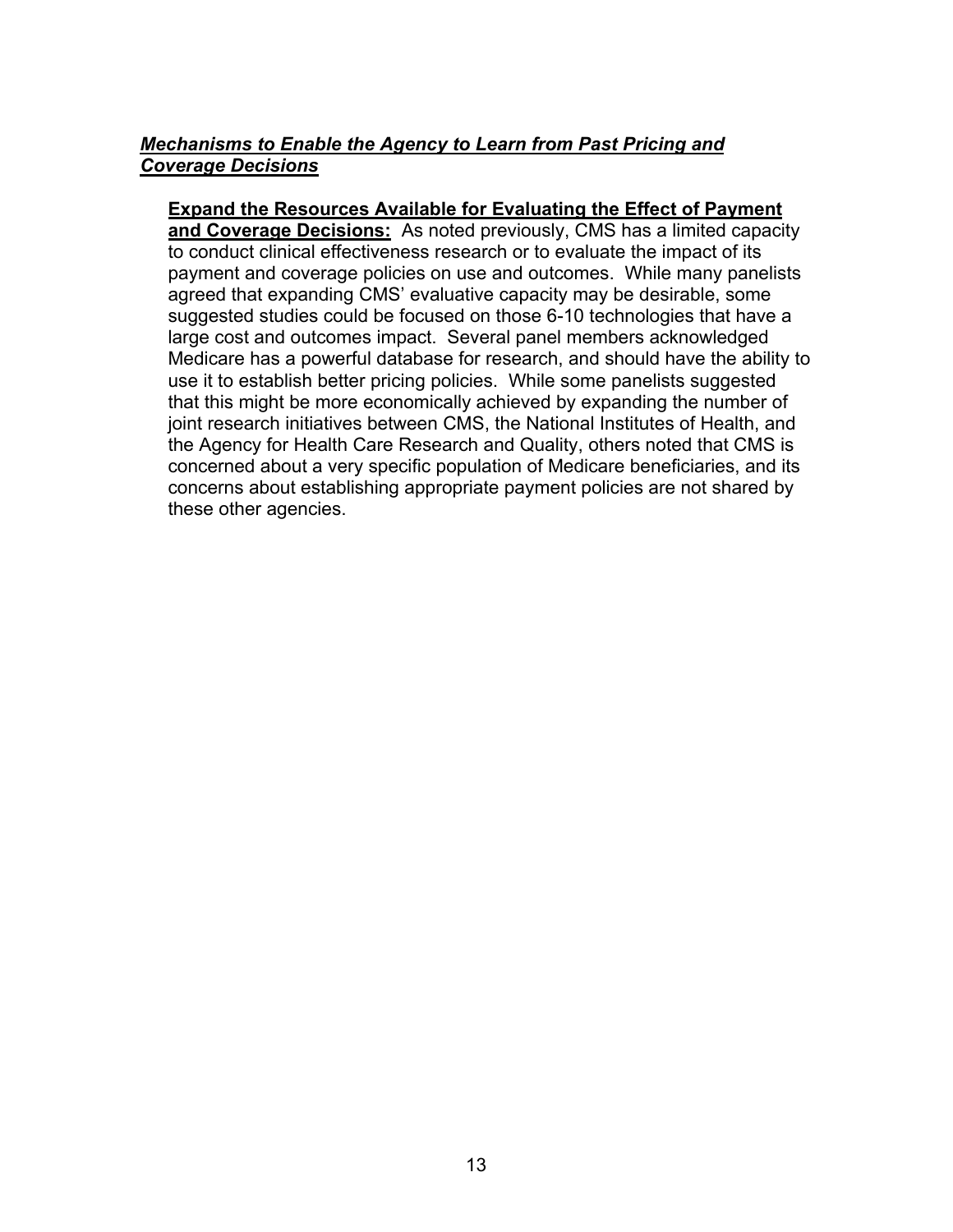#### *Mechanisms to Enable the Agency to Learn from Past Pricing and Coverage Decisions*

#### **Expand the Resources Available for Evaluating the Effect of Payment**

**and Coverage Decisions:** As noted previously, CMS has a limited capacity to conduct clinical effectiveness research or to evaluate the impact of its payment and coverage policies on use and outcomes. While many panelists agreed that expanding CMS' evaluative capacity may be desirable, some suggested studies could be focused on those 6-10 technologies that have a large cost and outcomes impact. Several panel members acknowledged Medicare has a powerful database for research, and should have the ability to use it to establish better pricing policies. While some panelists suggested that this might be more economically achieved by expanding the number of joint research initiatives between CMS, the National Institutes of Health, and the Agency for Health Care Research and Quality, others noted that CMS is concerned about a very specific population of Medicare beneficiaries, and its concerns about establishing appropriate payment policies are not shared by these other agencies.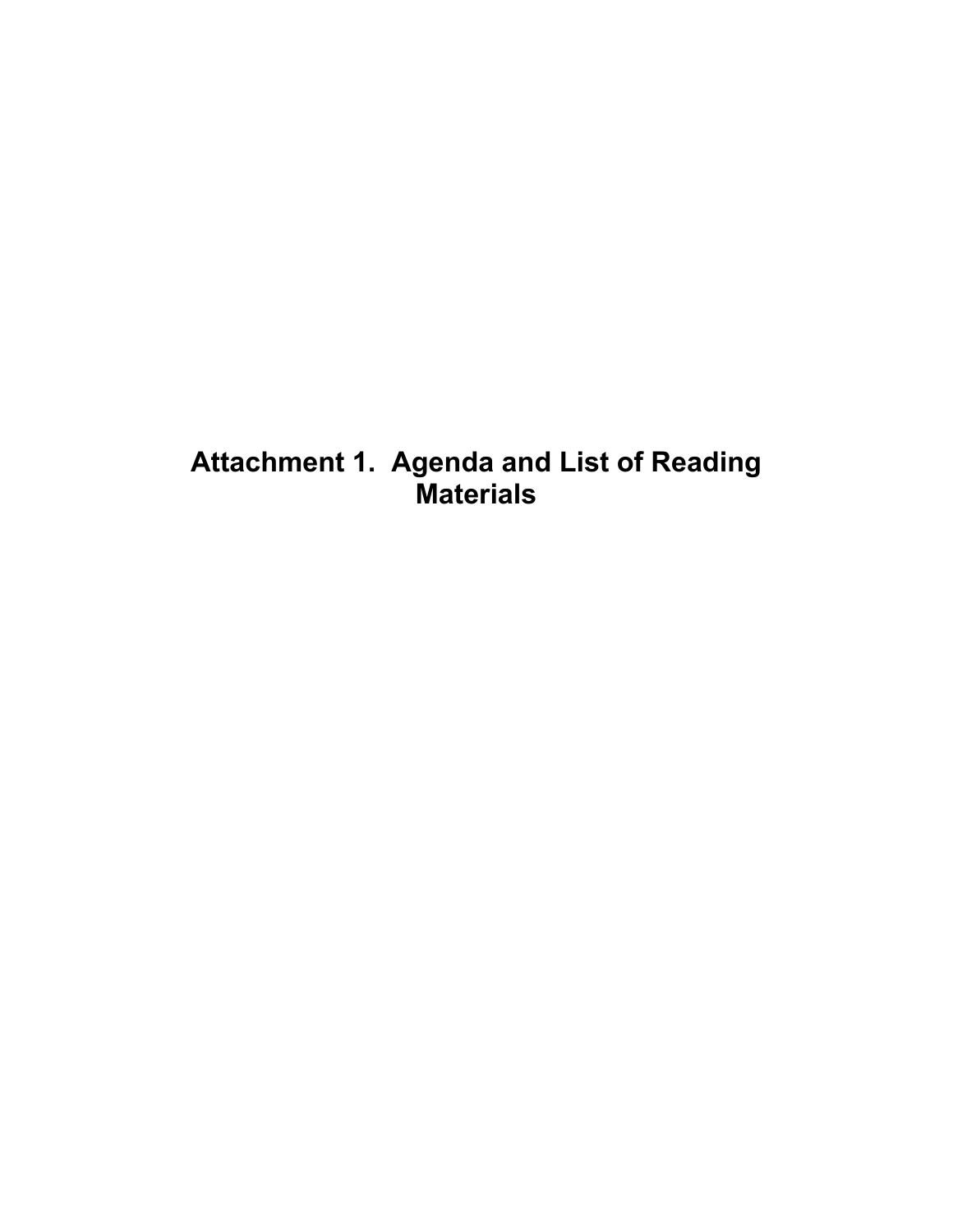# **Attachment 1. Agenda and List of Reading Materials**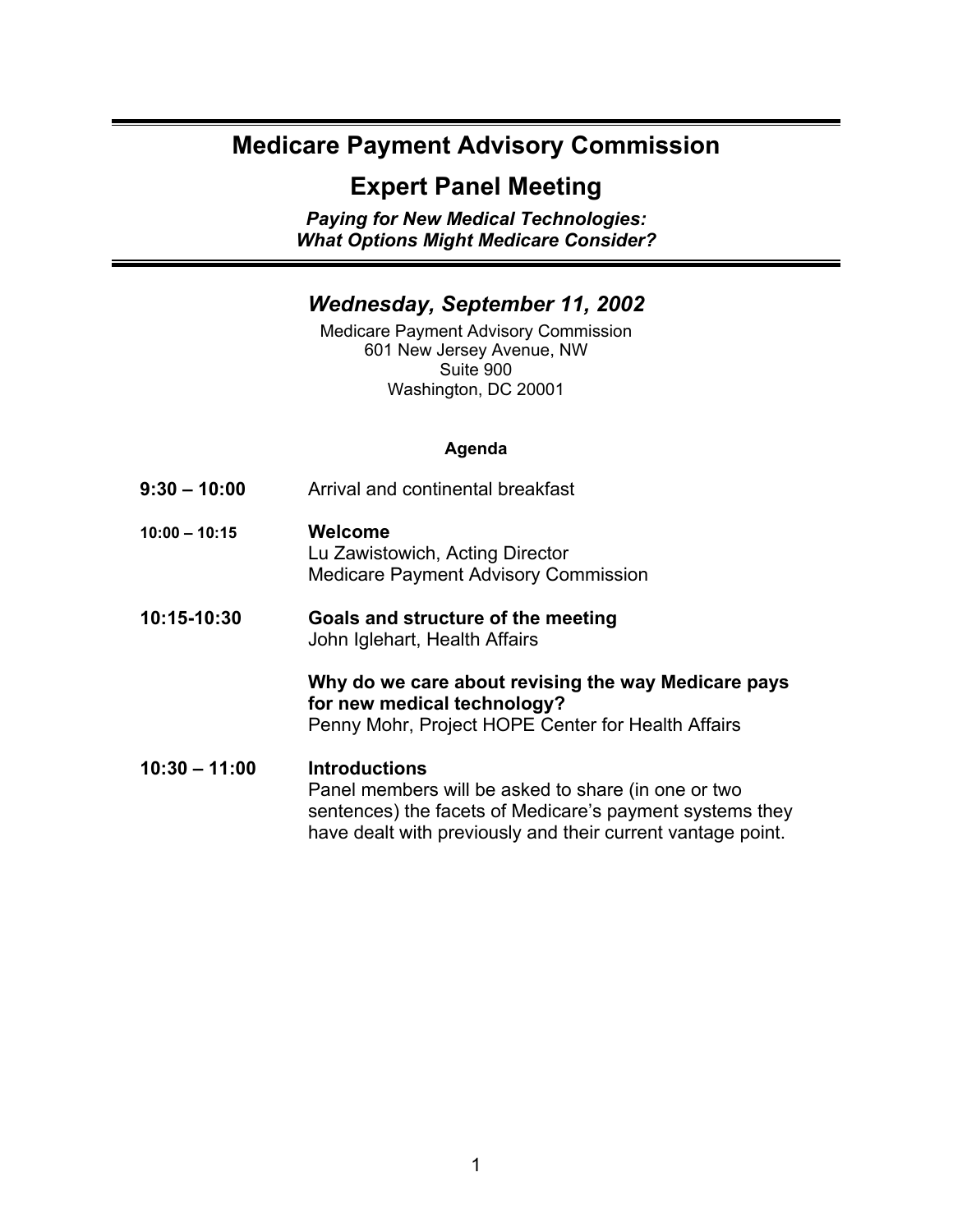# **Medicare Payment Advisory Commission**

# **Expert Panel Meeting**

*Paying for New Medical Technologies: What Options Might Medicare Consider?*

#### *Wednesday, September 11, 2002*

Medicare Payment Advisory Commission 601 New Jersey Avenue, NW Suite 900 Washington, DC 20001

#### **Agenda**

- **9:30 10:00** Arrival and continental breakfast
- **10:00 10:15 Welcome**  Lu Zawistowich, Acting Director Medicare Payment Advisory Commission
- **10:15-10:30 Goals and structure of the meeting**  John Iglehart, Health Affairs

#### **Why do we care about revising the way Medicare pays for new medical technology?** Penny Mohr, Project HOPE Center for Health Affairs

**10:30 – 11:00 Introductions**  Panel members will be asked to share (in one or two sentences) the facets of Medicare's payment systems they have dealt with previously and their current vantage point.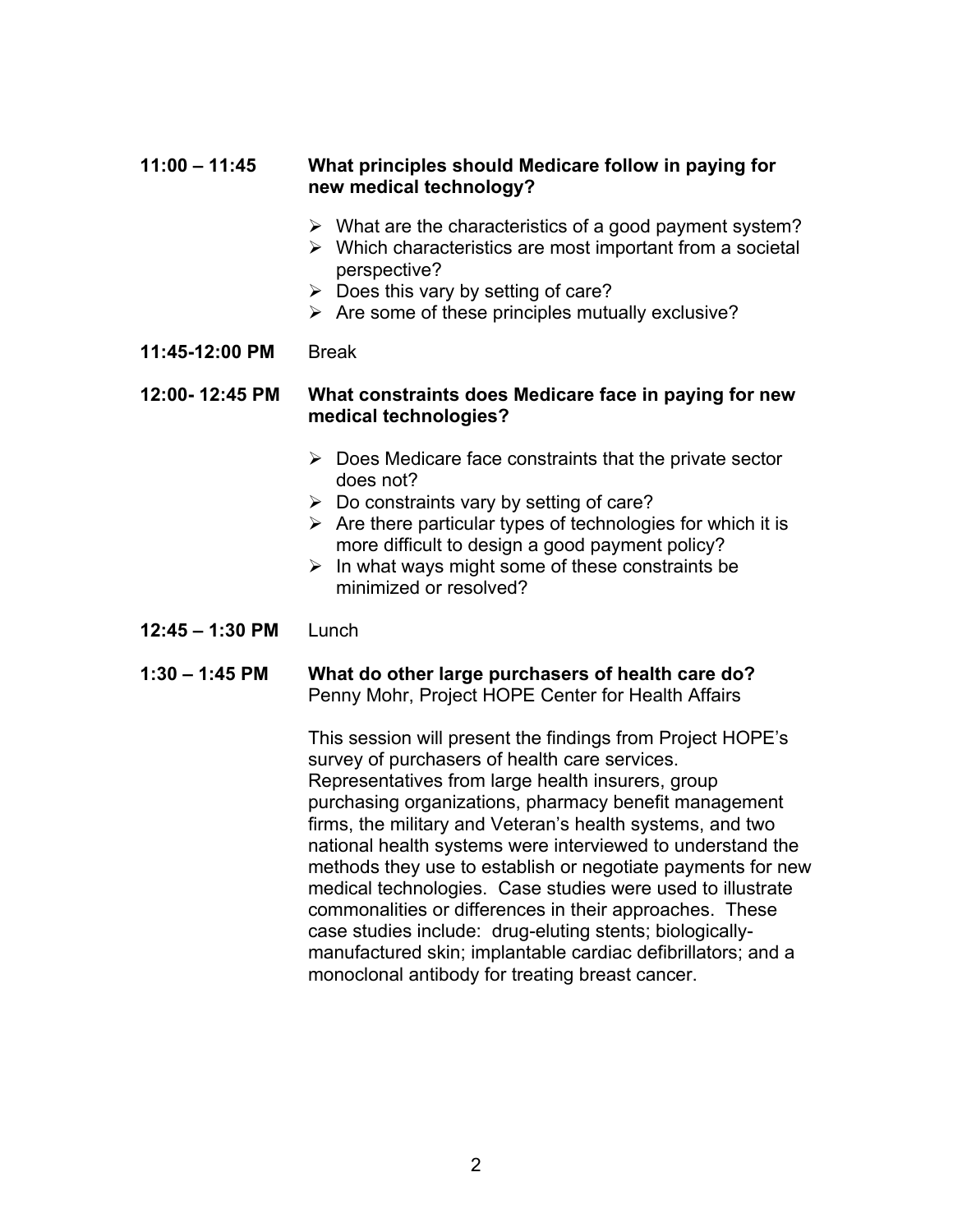#### **11:00 – 11:45 What principles should Medicare follow in paying for new medical technology?**

- $\triangleright$  What are the characteristics of a good payment system?
- $\triangleright$  Which characteristics are most important from a societal perspective?
- $\triangleright$  Does this vary by setting of care?
- $\triangleright$  Are some of these principles mutually exclusive?

#### **11:45-12:00 PM** Break

#### **12:00- 12:45 PM What constraints does Medicare face in paying for new medical technologies?**

- $\triangleright$  Does Medicare face constraints that the private sector does not?
- $\triangleright$  Do constraints vary by setting of care?
- $\triangleright$  Are there particular types of technologies for which it is more difficult to design a good payment policy?
- $\triangleright$  In what ways might some of these constraints be minimized or resolved?

#### **12:45 – 1:30 PM** Lunch

#### **1:30 – 1:45 PM What do other large purchasers of health care do?** Penny Mohr, Project HOPE Center for Health Affairs

This session will present the findings from Project HOPE's survey of purchasers of health care services. Representatives from large health insurers, group purchasing organizations, pharmacy benefit management firms, the military and Veteran's health systems, and two national health systems were interviewed to understand the methods they use to establish or negotiate payments for new medical technologies. Case studies were used to illustrate commonalities or differences in their approaches. These case studies include: drug-eluting stents; biologicallymanufactured skin; implantable cardiac defibrillators; and a monoclonal antibody for treating breast cancer.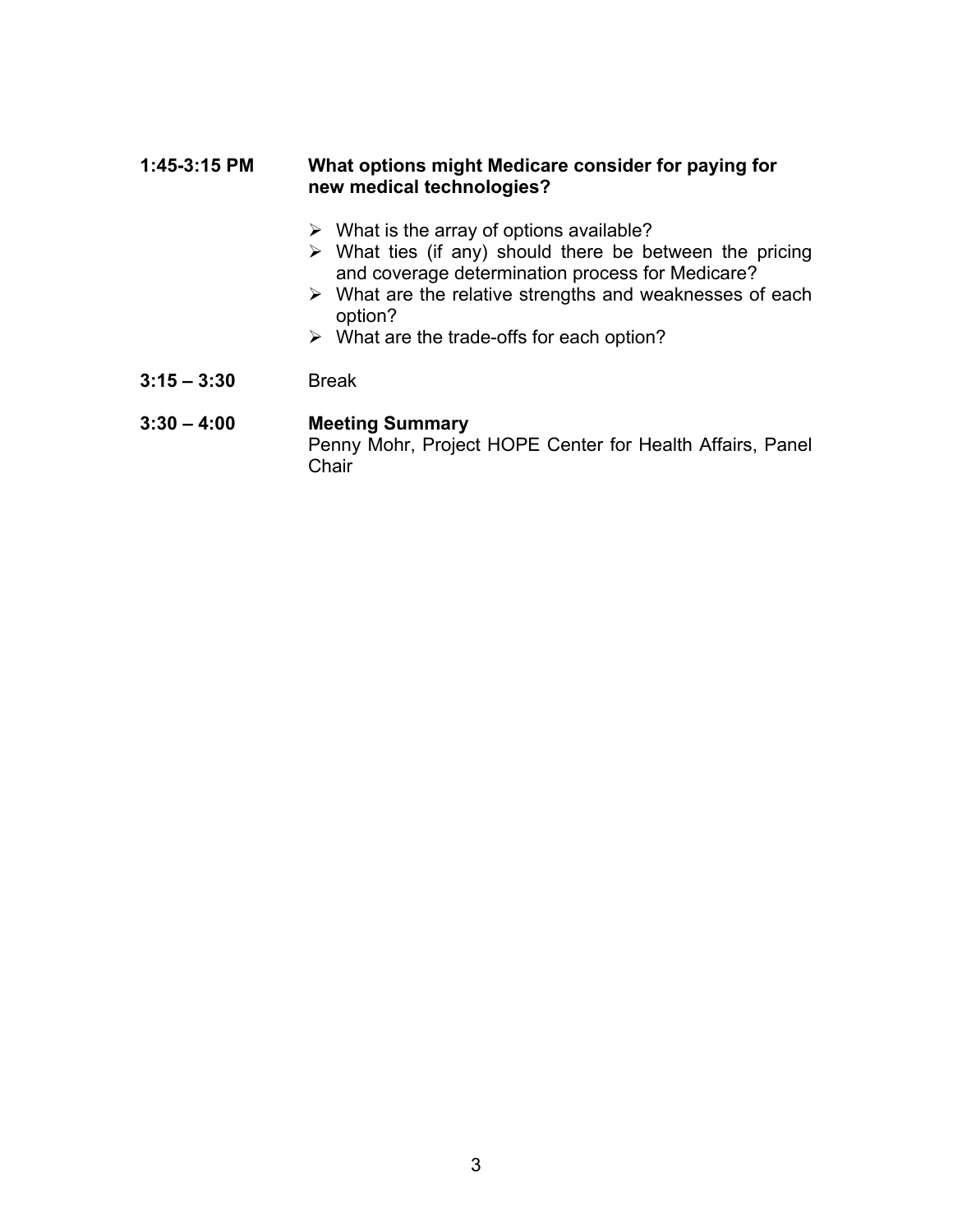#### **1:45-3:15 PM What options might Medicare consider for paying for new medical technologies?**

- $\triangleright$  What is the array of options available?
- $\triangleright$  What ties (if any) should there be between the pricing and coverage determination process for Medicare?
- $\triangleright$  What are the relative strengths and weaknesses of each option?
- $\triangleright$  What are the trade-offs for each option?
- **3:15 3:30** Break

#### **3:30 – 4:00 Meeting Summary**

Penny Mohr, Project HOPE Center for Health Affairs, Panel **Chair**